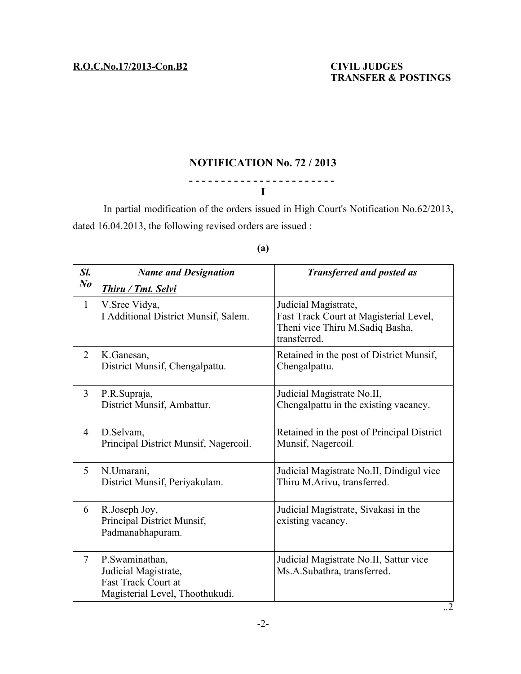..2

# **NOTIFICATION No. 72 / 2013**

# **- - - - - - - - - - - - - - - - - - - - - - - I**

In partial modification of the orders issued in High Court's Notification No.62/2013, dated 16.04.2013, the following revised orders are issued :

| Sl.            | <b>Name and Designation</b>                                                                             | <b>Transferred and posted as</b>                                                                                  |
|----------------|---------------------------------------------------------------------------------------------------------|-------------------------------------------------------------------------------------------------------------------|
| $N_{0}$        | Thiru / Tmt. Selvi                                                                                      |                                                                                                                   |
| $\mathbf{1}$   | V. Sree Vidya,<br>I Additional District Munsif, Salem.                                                  | Judicial Magistrate,<br>Fast Track Court at Magisterial Level,<br>Theni vice Thiru M.Sadiq Basha,<br>transferred. |
| 2              | K.Ganesan,<br>District Munsif, Chengalpattu.                                                            | Retained in the post of District Munsif,<br>Chengalpattu.                                                         |
| $\overline{3}$ | P.R.Supraja,<br>District Munsif, Ambattur.                                                              | Judicial Magistrate No.II,<br>Chengalpattu in the existing vacancy.                                               |
| 4              | D.Selvam,<br>Principal District Munsif, Nagercoil.                                                      | Retained in the post of Principal District<br>Munsif, Nagercoil.                                                  |
| 5              | N.Umarani,<br>District Munsif, Periyakulam.                                                             | Judicial Magistrate No.II, Dindigul vice<br>Thiru M.Arivu, transferred.                                           |
| 6              | R.Joseph Joy,<br>Principal District Munsif,<br>Padmanabhapuram.                                         | Judicial Magistrate, Sivakasi in the<br>existing vacancy.                                                         |
| 7              | P.Swaminathan,<br>Judicial Magistrate,<br><b>Fast Track Court at</b><br>Magisterial Level, Thoothukudi. | Judicial Magistrate No.II, Sattur vice<br>Ms.A.Subathra, transferred.                                             |

## **(a)**

-2-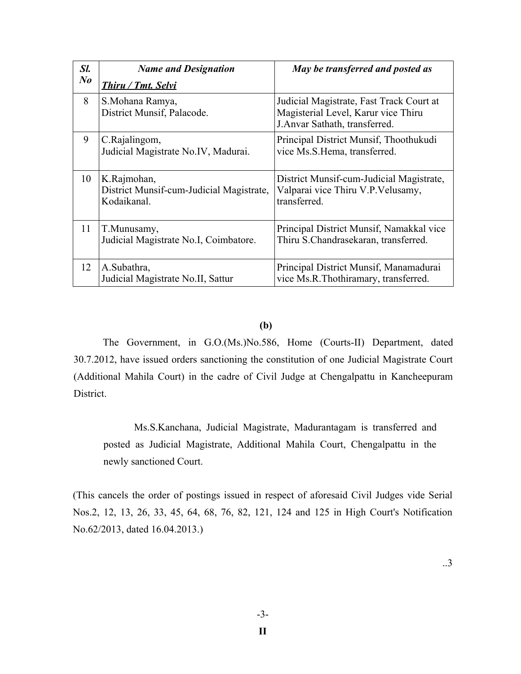| Sl.     | <b>Name and Designation</b>                                            | May be transferred and posted as                                                                                 |
|---------|------------------------------------------------------------------------|------------------------------------------------------------------------------------------------------------------|
| $N_{0}$ | Thiru / Tmt. Selvi                                                     |                                                                                                                  |
| 8       | S.Mohana Ramya,<br>District Munsif, Palacode.                          | Judicial Magistrate, Fast Track Court at<br>Magisterial Level, Karur vice Thiru<br>J.Anvar Sathath, transferred. |
| 9       | C.Rajalingom,<br>Judicial Magistrate No.IV, Madurai.                   | Principal District Munsif, Thoothukudi<br>vice Ms.S.Hema, transferred.                                           |
| 10      | K.Rajmohan,<br>District Munsif-cum-Judicial Magistrate,<br>Kodaikanal. | District Munsif-cum-Judicial Magistrate,<br>Valparai vice Thiru V.P. Velusamy,<br>transferred.                   |
| 11      | T.Munusamy,<br>Judicial Magistrate No.I, Coimbatore.                   | Principal District Munsif, Namakkal vice<br>Thiru S.Chandrasekaran, transferred.                                 |
| 12      | A.Subathra,<br>Judicial Magistrate No.II, Sattur                       | Principal District Munsif, Manamadurai<br>vice Ms.R.Thothiramary, transferred.                                   |

### **(b)**

The Government, in G.O.(Ms.)No.586, Home (Courts-II) Department, dated 30.7.2012, have issued orders sanctioning the constitution of one Judicial Magistrate Court (Additional Mahila Court) in the cadre of Civil Judge at Chengalpattu in Kancheepuram District.

Ms.S.Kanchana, Judicial Magistrate, Madurantagam is transferred and posted as Judicial Magistrate, Additional Mahila Court, Chengalpattu in the newly sanctioned Court.

(This cancels the order of postings issued in respect of aforesaid Civil Judges vide Serial Nos.2, 12, 13, 26, 33, 45, 64, 68, 76, 82, 121, 124 and 125 in High Court's Notification No.62/2013, dated 16.04.2013.)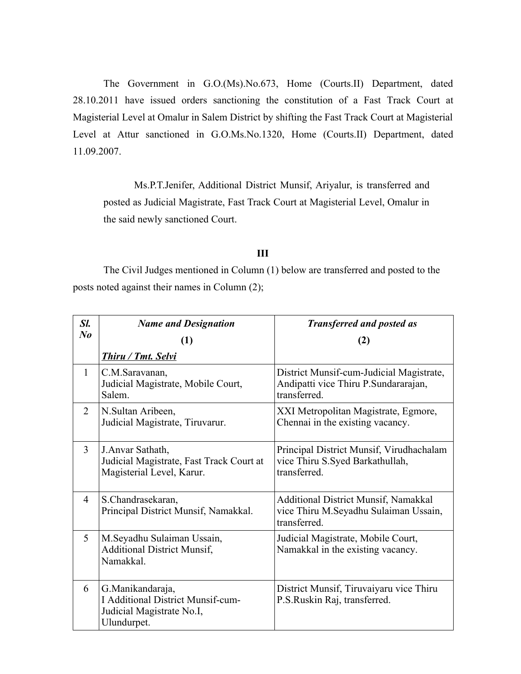The Government in G.O.(Ms).No.673, Home (Courts.II) Department, dated 28.10.2011 have issued orders sanctioning the constitution of a Fast Track Court at Magisterial Level at Omalur in Salem District by shifting the Fast Track Court at Magisterial Level at Attur sanctioned in G.O.Ms.No.1320, Home (Courts.II) Department, dated 11.09.2007.

Ms.P.T.Jenifer, Additional District Munsif, Ariyalur, is transferred and posted as Judicial Magistrate, Fast Track Court at Magisterial Level, Omalur in the said newly sanctioned Court.

### **III**

The Civil Judges mentioned in Column (1) below are transferred and posted to the posts noted against their names in Column (2);

| Sl.            | <b>Name and Designation</b>                                                                               | <b>Transferred and posted as</b>                                                                     |
|----------------|-----------------------------------------------------------------------------------------------------------|------------------------------------------------------------------------------------------------------|
| N <sub>o</sub> | (1)                                                                                                       | (2)                                                                                                  |
|                | <b>Thiru / Tmt. Selvi</b>                                                                                 |                                                                                                      |
| $\mathbf{1}$   | C.M.Saravanan,<br>Judicial Magistrate, Mobile Court,<br>Salem.                                            | District Munsif-cum-Judicial Magistrate,<br>Andipatti vice Thiru P.Sundararajan,<br>transferred.     |
| 2              | N. Sultan Aribeen,<br>Judicial Magistrate, Tiruvarur.                                                     | XXI Metropolitan Magistrate, Egmore,<br>Chennai in the existing vacancy.                             |
| 3              | J. Anvar Sathath,<br>Judicial Magistrate, Fast Track Court at<br>Magisterial Level, Karur.                | Principal District Munsif, Virudhachalam<br>vice Thiru S.Syed Barkathullah,<br>transferred.          |
| 4              | S.Chandrasekaran,<br>Principal District Munsif, Namakkal.                                                 | <b>Additional District Munsif, Namakkal</b><br>vice Thiru M.Seyadhu Sulaiman Ussain,<br>transferred. |
| 5              | M.Seyadhu Sulaiman Ussain,<br><b>Additional District Munsif,</b><br>Namakkal.                             | Judicial Magistrate, Mobile Court,<br>Namakkal in the existing vacancy.                              |
| 6              | G. Manikandaraja,<br><b>I Additional District Munsif-cum-</b><br>Judicial Magistrate No.I,<br>Ulundurpet. | District Munsif, Tiruvaiyaru vice Thiru<br>P.S.Ruskin Raj, transferred.                              |